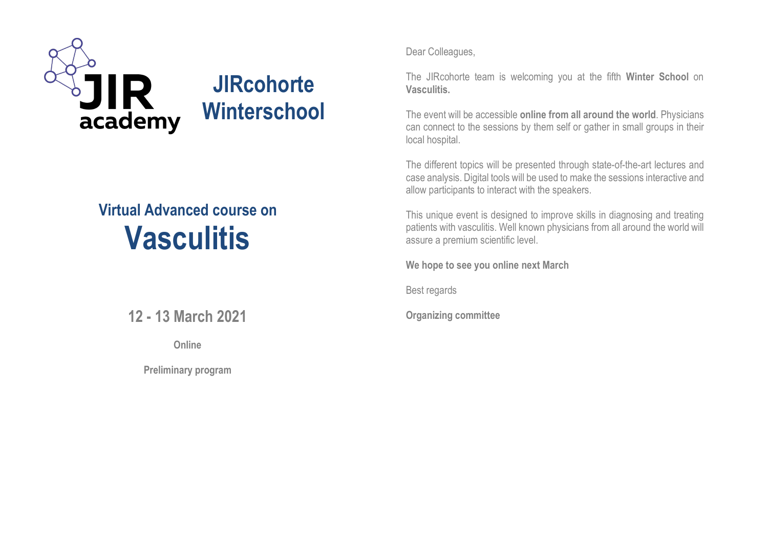

# **Virtual Advanced course on Vasculitis**

### **12 - 13 March 2021**

**Online**

**Preliminary program**

Dear Colleagues,

The JIRcohorte team is welcoming you at the fifth **Winter School** on **Vasculitis.**

The event will be accessible **online from all around the world**. Physicians can connect to the sessions by them self or gather in small groups in their local hospital.

The different topics will be presented through state-of-the-art lectures and case analysis. Digital tools will be used to make the sessions interactive and allow participants to interact with the speakers.

This unique event is designed to improve skills in diagnosing and treating patients with vasculitis. Well known physicians from all around the world will assure a premium scientific level.

**We hope to see you online next March**

Best regards

**Organizing committee**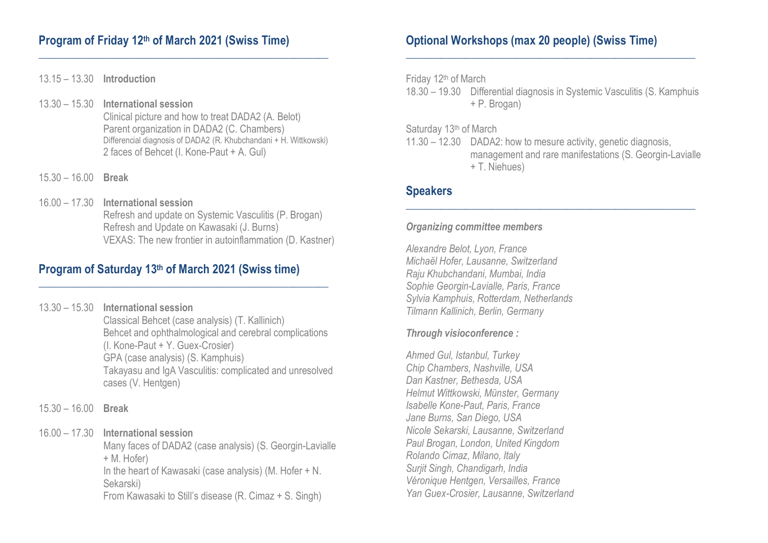#### **Program of Friday 12th of March 2021 (Swiss Time)**

13.15 – 13.30 **Introduction**

13.30 – 15.30 **International session** Clinical picture and how to treat DADA2 (A. Belot) Parent organization in DADA2 (C. Chambers) Differencial diagnosis of DADA2 (R. Khubchandani + H. Wittkowski) 2 faces of Behcet (I. Kone-Paut + A. Gul)

**\_\_\_\_\_\_\_\_\_\_\_\_\_\_\_\_\_\_\_\_\_\_\_\_\_\_\_\_\_\_\_\_\_\_\_\_\_\_\_\_\_\_\_\_\_\_\_\_\_\_\_\_\_\_\_\_\_\_**

- 15.30 16.00 **Break**
- 16.00 17.30 **International session** Refresh and update on Systemic Vasculitis (P. Brogan) Refresh and Update on Kawasaki (J. Burns) VEXAS: The new frontier in autoinflammation (D. Kastner)

**\_\_\_\_\_\_\_\_\_\_\_\_\_\_\_\_\_\_\_\_\_\_\_\_\_\_\_\_\_\_\_\_\_\_\_\_\_\_\_\_\_\_\_\_\_\_\_\_\_\_\_\_\_\_\_\_\_\_**

#### **Program of Saturday 13th of March 2021 (Swiss time)**

- 13.30 15.30 **International session** Classical Behcet (case analysis) (T. Kallinich) Behcet and ophthalmological and cerebral complications (I. Kone-Paut + Y. Guex-Crosier) GPA (case analysis) (S. Kamphuis) Takayasu and IgA Vasculitis: complicated and unresolved cases (V. Hentgen)
- 15.30 16.00 **Break**

#### 16.00 – 17.30 **International session**

Many faces of DADA2 (case analysis) (S. Georgin-Lavialle + M. Hofer) In the heart of Kawasaki (case analysis) (M. Hofer + N. Sekarski) From Kawasaki to Still's disease (R. Cimaz + S. Singh)

#### **Optional Workshops (max 20 people) (Swiss Time)**

Friday 12th of March

18.30 – 19.30 Differential diagnosis in Systemic Vasculitis (S. Kamphuis + P. Brogan)

**\_\_\_\_\_\_\_\_\_\_\_\_\_\_\_\_\_\_\_\_\_\_\_\_\_\_\_\_\_\_\_\_\_\_\_\_\_\_\_\_\_\_\_\_\_\_\_\_\_\_\_\_\_\_\_\_\_\_**

Saturday 13<sup>th</sup> of March

11.30 – 12.30 DADA2: how to mesure activity, genetic diagnosis, management and rare manifestations (S. Georgin-Lavialle + T. Niehues)

**\_\_\_\_\_\_\_\_\_\_\_\_\_\_\_\_\_\_\_\_\_\_\_\_\_\_\_\_\_\_\_\_\_\_\_\_\_\_\_\_\_\_\_\_\_\_\_\_\_\_\_\_\_\_\_\_\_\_**

#### **Speakers**

#### *Organizing committee members*

*Alexandre Belot, Lyon, France Michaël Hofer, Lausanne, Switzerland Raju Khubchandani, Mumbai, India Sophie Georgin-Lavialle, Paris, France Sylvia Kamphuis, Rotterdam, Netherlands Tilmann Kallinich, Berlin, Germany*

#### *Through visioconference :*

*Ahmed Gul, Istanbul, Turkey Chip Chambers, Nashville, USA Dan Kastner, Bethesda, USA Helmut Wittkowski, Münster, Germany Isabelle Kone-Paut, Paris, France Jane Burns, San Diego, USA Nicole Sekarski, Lausanne, Switzerland Paul Brogan, London, United Kingdom Rolando Cimaz, Milano, Italy Surjit Singh, Chandigarh, India Véronique Hentgen, Versailles, France Yan Guex-Crosier, Lausanne, Switzerland*